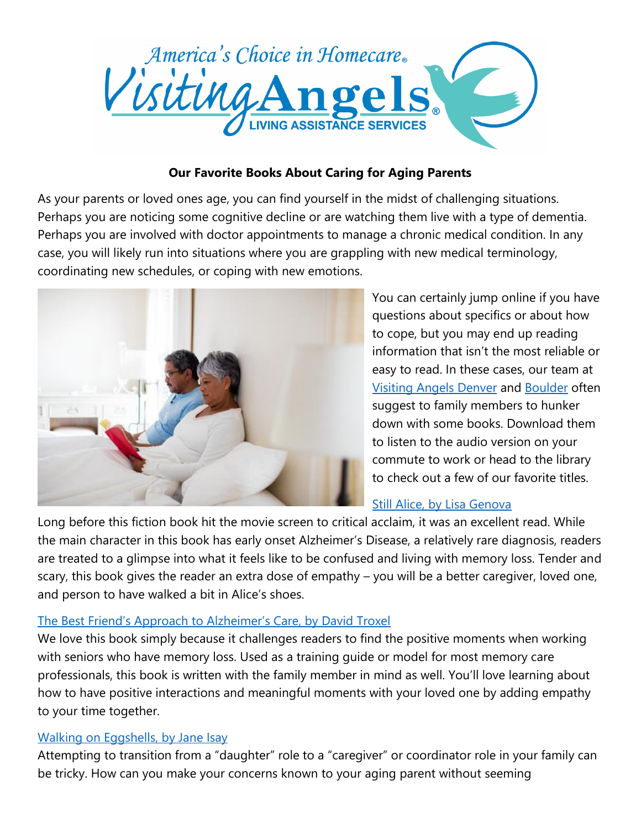

## **Our Favorite Books About Caring for Aging Parents**

As your parents or loved ones age, you can find yourself in the midst of challenging situations. Perhaps you are noticing some cognitive decline or are watching them live with a type of dementia. Perhaps you are involved with doctor appointments to manage a chronic medical condition. In any case, you will likely run into situations where you are grappling with new medical terminology, coordinating new schedules, or coping with new emotions.



You can certainly jump online if you have questions about specifics or about how to cope, but you may end up reading information that isn't the most reliable or easy to read. In these cases, our team at [Visiting Angels Denver](http://www.visitingangels.com/denver) and [Boulder](http://www.visitingangels.com/boulder) often suggest to family members to hunker down with some books. Download them to listen to the audio version on your commute to work or head to the library to check out a few of our favorite titles.

# [Still Alice, by Lisa Genova](https://www.amazon.com/Still-Alice-Lisa-Genova/dp/1501107739)

Long before this fiction book hit the movie screen to critical acclaim, it was an excellent read. While the main character in this book has early onset Alzheimer's Disease, a relatively rare diagnosis, readers are treated to a glimpse into what it feels like to be confused and living with memory loss. Tender and scary, this book gives the reader an extra dose of empathy – you will be a better caregiver, loved one, and person to have walked a bit in Alice's shoes.

# [The Best Friend's Approach to Alzheimer's Care, by David Troxel](https://www.amazon.com/Best-Friends-Approach-Alzheimers-Revised/dp/1878812351)

We love this book simply because it challenges readers to find the positive moments when working with seniors who have memory loss. Used as a training guide or model for most memory care professionals, this book is written with the family member in mind as well. You'll love learning about how to have positive interactions and meaningful moments with your loved one by adding empathy to your time together.

# [Walking on Eggshells, by Jane Isay](http://www.barnesandnoble.com/w/walking-on-eggshells-jane-isay/1100304856;jsessionid=D30E9B872D0909096F9F3571A9A3BE18.prodny_store02-atgap12?ean=2900767920857&pcta=u&st=PLA&sid=BNB_DRS_Core%20Shopping%20Textbooks_00000000&2sid=Google_&sourceId=PLGoP62423#productInfoTabs)

Attempting to transition from a "daughter" role to a "caregiver" or coordinator role in your family can be tricky. How can you make your concerns known to your aging parent without seeming